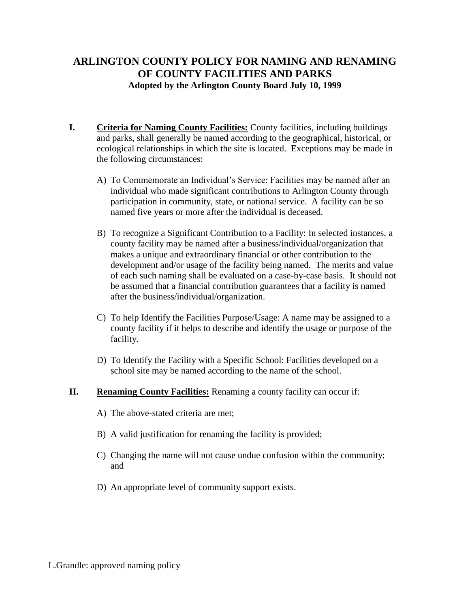## **ARLINGTON COUNTY POLICY FOR NAMING AND RENAMING OF COUNTY FACILITIES AND PARKS Adopted by the Arlington County Board July 10, 1999**

- **I. Criteria for Naming County Facilities:** County facilities, including buildings and parks, shall generally be named according to the geographical, historical, or ecological relationships in which the site is located. Exceptions may be made in the following circumstances:
	- A) To Commemorate an Individual's Service: Facilities may be named after an individual who made significant contributions to Arlington County through participation in community, state, or national service. A facility can be so named five years or more after the individual is deceased.
	- B) To recognize a Significant Contribution to a Facility: In selected instances, a county facility may be named after a business/individual/organization that makes a unique and extraordinary financial or other contribution to the development and/or usage of the facility being named. The merits and value of each such naming shall be evaluated on a case-by-case basis. It should not be assumed that a financial contribution guarantees that a facility is named after the business/individual/organization.
	- C) To help Identify the Facilities Purpose/Usage: A name may be assigned to a county facility if it helps to describe and identify the usage or purpose of the facility.
	- D) To Identify the Facility with a Specific School: Facilities developed on a school site may be named according to the name of the school.
- **II. Renaming County Facilities:** Renaming a county facility can occur if:
	- A) The above-stated criteria are met;
	- B) A valid justification for renaming the facility is provided;
	- C) Changing the name will not cause undue confusion within the community; and
	- D) An appropriate level of community support exists.